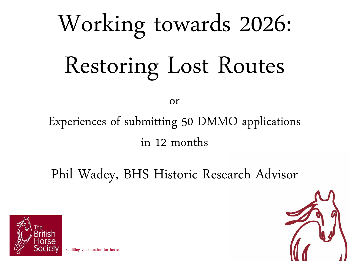# Working towards 2026: Restoring Lost Routes

or

#### Experiences of submitting 50 DMMO applications in 12 months

Phil Wadey, BHS Historic Research Advisor



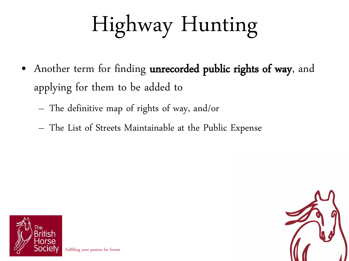# Highway Hunting

- Another term for finding unrecorded public rights of way, and applying for them to be added to
	- The definitive map of rights of way, and/or
	- The List of Streets Maintainable at the Public Expense



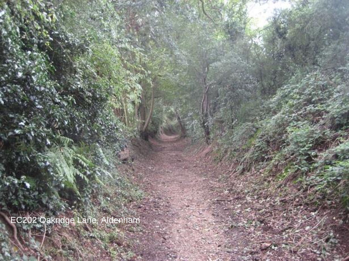EC202 Oakridge Lane, Aldenham

Fulfilling your passion for horses Fulfilling your passion for horses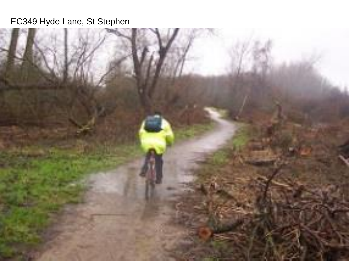#### EC349 Hyde Lane, St Stephen

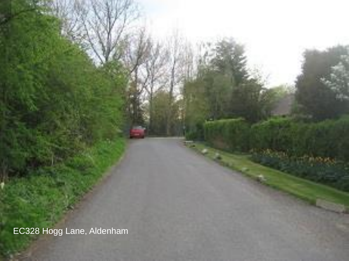EC328 Hogg Lane, Aldenham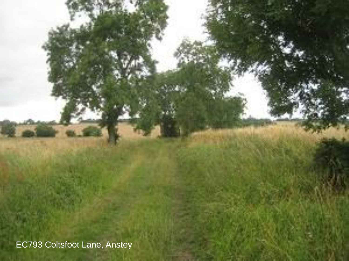Fulfilling your passion for horses Fulfilling your passion for horses EC793 Coltsfoot Lane, Anstey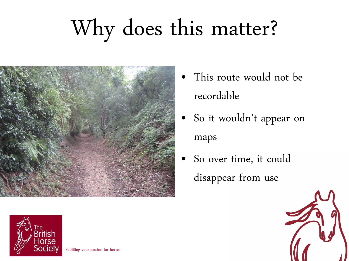

- This route would not be recordable
- So it wouldn't appear on maps
- So over time, it could disappear from use



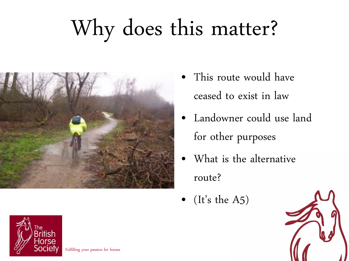

- This route would have ceased to exist in law
- Landowner could use land for other purposes
- What is the alternative route?
- (It's the A5)



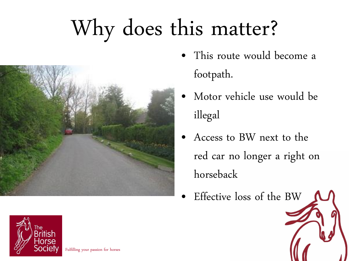

- This route would become a footpath.
- Motor vehicle use would be illegal
- Access to BW next to the red car no longer a right on horseback
- Effective loss of the BW

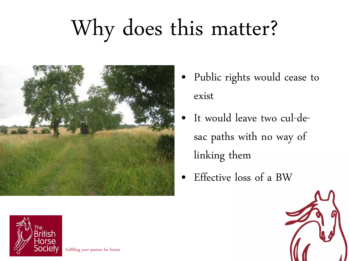

- Public rights would cease to exist
- It would leave two cul-desac paths with no way of linking them
- Effective loss of a BW



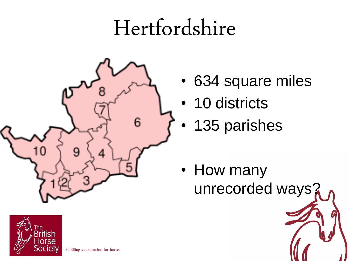#### Hertfordshire



`he British lorse

- 634 square miles
- 10 districts
- 135 parishes

• How many unrecorded ways?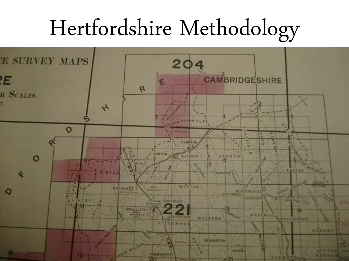#### Hertfordshire Methodology

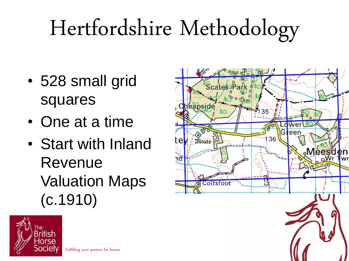## Hertfordshire Methodology

- 528 small grid squares
- One at a time
- Start with Inland Revenue Valuation Maps (c.1910)



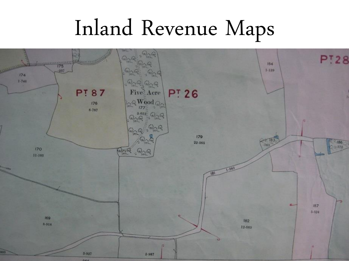#### Inland Revenue Maps

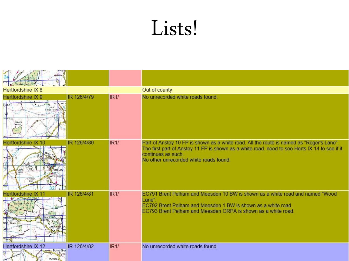#### Lists!

| <b>Hertfordshire IX 8</b>                         |             |      | Out of county                                                                                                                                                                                                                                             |
|---------------------------------------------------|-------------|------|-----------------------------------------------------------------------------------------------------------------------------------------------------------------------------------------------------------------------------------------------------------|
| Hertfordshire IX 9<br>kland <sup>1</sup><br>apons | IR 126/4/79 | IR1/ | No unrecorded white roads found.                                                                                                                                                                                                                          |
| Hertfordshire IX 10                               | IR 126/4/80 | IR1/ | Part of Anstey 10 FP is shown as a white road. All the route is named as "Roger's Lane".<br>The first part of Anstey 11 FP is shown as a white road, need to see Herts IX 14 to see if it<br>continues as such.<br>No other unrecorded white roads found. |
|                                                   | IR 126/4/81 | IR1/ | EC791 Brent Pelham and Meesden 10 BW is shown as a white road and named "Wood<br>Lane".<br>EC792 Brent Pelham and Meesden 1 BW is shown as a white road.<br>EC793 Brent Pelham and Meesden ORPA is shown as a white road.                                 |
| Hertfordshire IX 12<br>- Butts Grei               | IR 126/4/82 | IR1/ | No unrecorded white roads found.                                                                                                                                                                                                                          |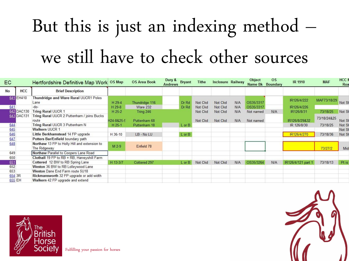#### But this is just an indexing method – we still have to check other sources

| EC        |            | Hertfordshire Definitive Map Work OS Map                     |            | <b>OS Area Book</b> | Dury &<br>Andrews | <b>Bryant</b> | <b>Tithe</b> | <b>Inclosure Railway</b> |     | Object<br>Name Bk | <b>OS</b><br>Boundary | <b>IR 1910</b>     | <b>MAF</b>  | <b>HCC I</b><br>Roa |
|-----------|------------|--------------------------------------------------------------|------------|---------------------|-------------------|---------------|--------------|--------------------------|-----|-------------------|-----------------------|--------------------|-------------|---------------------|
| <b>No</b> | HCC        | <b>Brief Description</b>                                     |            |                     |                   |               |              |                          |     |                   |                       |                    |             |                     |
|           | 641 EH410  | Thundridge and Ware Rural UUCR1 Poles                        |            |                     |                   |               |              |                          |     |                   |                       | IR126/4/222        | MAF73/18/29 |                     |
|           |            | Lane                                                         | H 29-4     | Thundridge 116      |                   | Dr Rd         | Not Ckd      | Not Ckd                  | N/A | OS35/3317         |                       |                    |             | Not SI              |
| 641       |            | -do-                                                         | H 29-8     | Ware 232            |                   | Dr Rd         | Not Ckd      | Not Ckd                  | N/A | OS35/3317         |                       | IR126/4/226        |             |                     |
|           | 642 DAC130 | <b>Tring Rural UUCR 1</b>                                    | H 25-2     | Tring 246           |                   |               | Not Ckd      | Not Ckd                  | N/A | Not named         | N/A                   | IR126/8/31         | 73/18/25    | Not SI              |
|           | 643 DAC131 | Tring Rural UUCR 2 Puttenham / joins Bucks                   |            |                     |                   |               |              |                          |     |                   |                       |                    | 73/18/24&25 |                     |
|           |            | route                                                        | H24-8&25-5 | Puttenham 68        |                   |               | Not Ckd      | Not Ckd                  | N/A | Not named         |                       | IR126/8/29&32      |             | Not SI              |
| 644       |            | Tring Rural UUCR 3 Puttenham N                               | $H$ 25-1   | Puttenham 18        |                   | $L$ or $B$    |              |                          |     |                   |                       | IR 126/8/30        | 73/18/25    | Not SI              |
| 645       |            | <b>Walkern UUCR 1</b>                                        |            |                     |                   |               |              |                          |     |                   |                       |                    |             | Not SI              |
| 646       |            | Little Berkhamstead 14 FP upgrade                            | H 36-10    | LB - No LU          |                   | $L$ or $B$    |              |                          |     |                   |                       | IR126/4/270        | 73/18/36    | Not SI              |
| 647       |            | Potters Bar/Enfield boundary path                            |            |                     |                   |               |              |                          |     |                   |                       |                    |             |                     |
| 648       |            | Northaw 13 FP to Holly Hill and extension to<br>The Ridgeway | M 2-9      | Enfield 78          |                   |               |              |                          |     |                   |                       |                    | 73/27/2     | Mid                 |
| 649       |            | Northaw Parallel to Coopers Lane Road                        |            |                     |                   |               |              |                          |     |                   |                       |                    |             |                     |
| 650       |            | Clothall 19 FP to RB + RB, Harveyshill Farm                  |            |                     |                   |               |              |                          |     |                   |                       |                    |             |                     |
| 651       |            | Cottered 12 BW to RB Spring Lane                             | H 13-3/7   | Cottered 297        |                   | $L$ or $B$    | Not Ckd      | Not Ckd                  | N/A | OS35/3264         | N/A                   | IR126/4/121 part 1 | 73/18/13    | Pt is               |
| 652       |            | Weston 36 BW to RB Lolleywood Lane                           |            |                     |                   |               |              |                          |     |                   |                       |                    |             |                     |
| 653       |            | Weston Dane End Farm route 5U18                              |            |                     |                   |               |              |                          |     |                   |                       |                    |             |                     |
| 654 3R    |            | Rickmansworth 32 FP upgrade or add width                     |            |                     |                   |               |              |                          |     |                   |                       |                    |             |                     |
|           | 655 EH     | Walkern 42 FP upgrade and extend                             |            |                     |                   |               |              |                          |     |                   |                       |                    |             |                     |





Fulfilling your passion for horses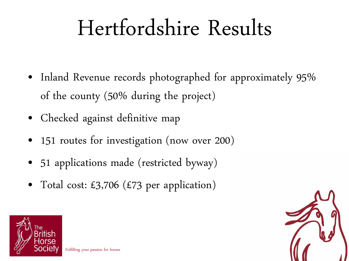#### Hertfordshire Results

- Inland Revenue records photographed for approximately 95% of the county (50% during the project)
- Checked against definitive map
- 151 routes for investigation (now over 200)
- 51 applications made (restricted byway)
- Total cost: £3,706 (£73 per application)



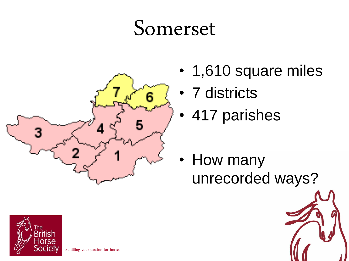#### Somerset



- 1,610 square miles
- 7 districts
- 417 parishes

• How many unrecorded ways?

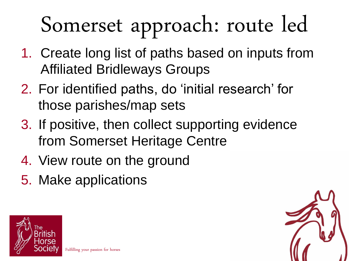# Somerset approach: route led

- 1. Create long list of paths based on inputs from Affiliated Bridleways Groups
- 2. For identified paths, do 'initial research' for those parishes/map sets
- 3. If positive, then collect supporting evidence from Somerset Heritage Centre
- 4. View route on the ground
- 5. Make applications



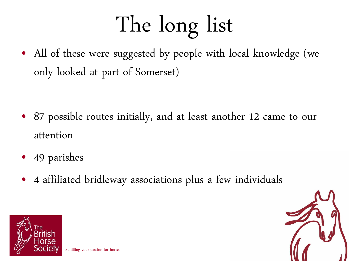# The long list

• All of these were suggested by people with local knowledge (we only looked at part of Somerset)

- 87 possible routes initially, and at least another 12 came to our attention
- 49 parishes
- 4 affiliated bridleway associations plus a few individuals



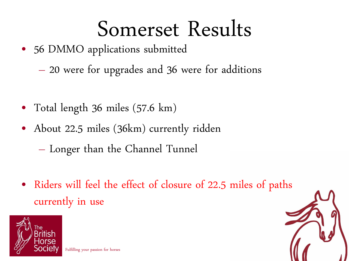#### Somerset Results

- 56 DMMO applications submitted
	- 20 were for upgrades and 36 were for additions
- Total length 36 miles (57.6 km)
- About 22.5 miles (36km) currently ridden
	- Longer than the Channel Tunnel
- Riders will feel the effect of closure of 22.5 miles of paths currently in use



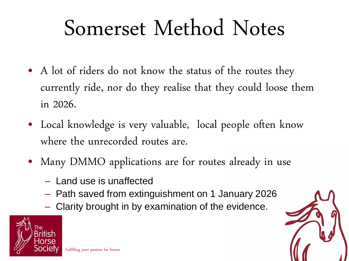#### Somerset Method Notes

- A lot of riders do not know the status of the routes they currently ride, nor do they realise that they could loose them in 2026.
- Local knowledge is very valuable, local people often know where the unrecorded routes are.
- Many DMMO applications are for routes already in use
	- Land use is unaffected
	- Path saved from extinguishment on 1 January 2026
	- Clarity brought in by examination of the evidence.

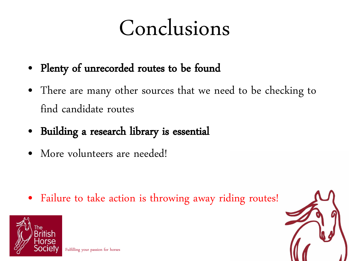#### Conclusions

- Plenty of unrecorded routes to be found
- There are many other sources that we need to be checking to find candidate routes
- Building a research library is essential
- More volunteers are needed!

• Failure to take action is throwing away riding routes!

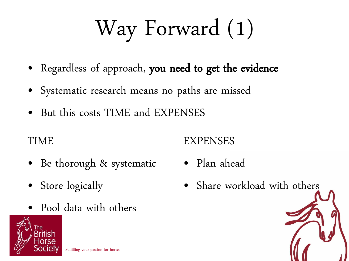# Way Forward (1)

- Regardless of approach, you need to get the evidence
- Systematic research means no paths are missed
- But this costs TIME and EXPENSES

TIME

- Be thorough & systematic
- Store logically
- Pool data with others



#### EXPENSES

- Plan ahead
- Share workload with others

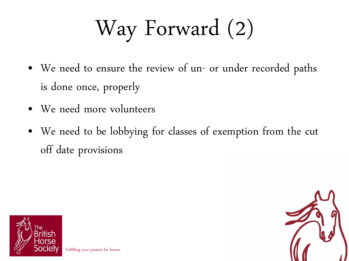# Way Forward (2)

- We need to ensure the review of un- or under recorded paths is done once, properly
- We need more volunteers
- We need to be lobbying for classes of exemption from the cut off date provisions